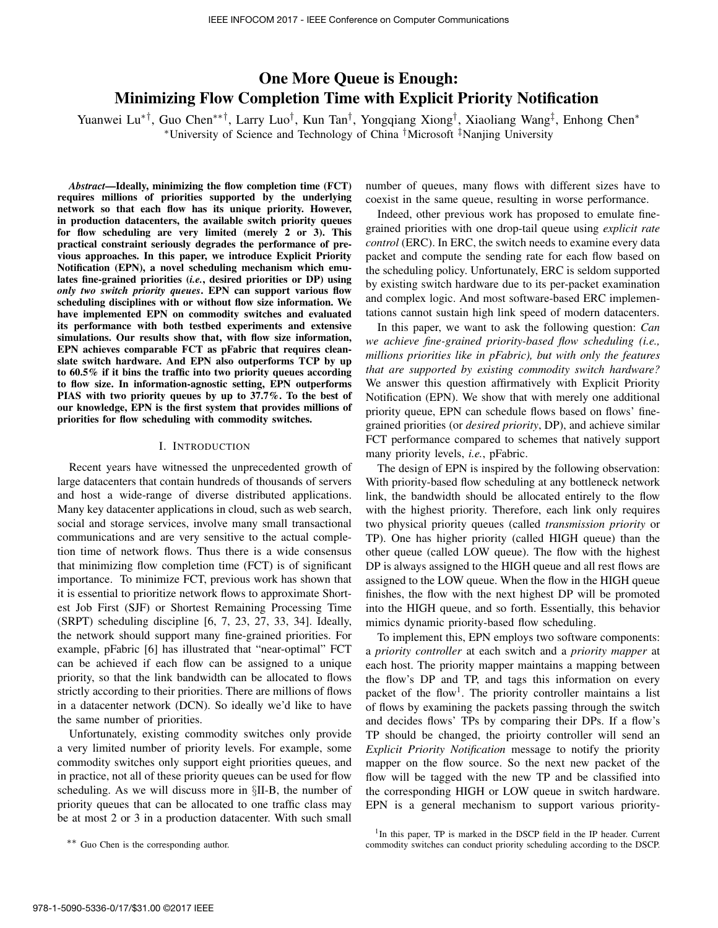# One More Queue is Enough: Minimizing Flow Completion Time with Explicit Priority Notification

Yuanwei Lu<sup>\*†</sup>, Guo Chen<sup>∗∗†</sup>, Larry Luo<sup>†</sup>, Kun Tan<sup>†</sup>, Yongqiang Xiong<sup>†</sup>, Xiaoliang Wang<sup>‡</sup>, Enhong Chen<sup>∗</sup> <sup>∗</sup>University of Science and Technology of China †Microsoft ‡Nanjing University

*Abstract*—Ideally, minimizing the flow completion time (FCT) requires millions of priorities supported by the underlying network so that each flow has its unique priority. However, in production datacenters, the available switch priority queues for flow scheduling are very limited (merely 2 or 3). This practical constraint seriously degrades the performance of previous approaches. In this paper, we introduce Explicit Priority Notification (EPN), a novel scheduling mechanism which emulates fine-grained priorities (*i.e.*, desired priorities or DP) using *only two switch priority queues*. EPN can support various flow scheduling disciplines with or without flow size information. We have implemented EPN on commodity switches and evaluated its performance with both testbed experiments and extensive simulations. Our results show that, with flow size information, EPN achieves comparable FCT as pFabric that requires cleanslate switch hardware. And EPN also outperforms TCP by up to 60.5% if it bins the traffic into two priority queues according to flow size. In information-agnostic setting, EPN outperforms PIAS with two priority queues by up to 37.7%. To the best of our knowledge, EPN is the first system that provides millions of priorities for flow scheduling with commodity switches.

## I. INTRODUCTION

Recent years have witnessed the unprecedented growth of large datacenters that contain hundreds of thousands of servers and host a wide-range of diverse distributed applications. Many key datacenter applications in cloud, such as web search, social and storage services, involve many small transactional communications and are very sensitive to the actual completion time of network flows. Thus there is a wide consensus that minimizing flow completion time (FCT) is of significant importance. To minimize FCT, previous work has shown that it is essential to prioritize network flows to approximate Shortest Job First (SJF) or Shortest Remaining Processing Time (SRPT) scheduling discipline [6, 7, 23, 27, 33, 34]. Ideally, the network should support many fine-grained priorities. For example, pFabric [6] has illustrated that "near-optimal" FCT can be achieved if each flow can be assigned to a unique priority, so that the link bandwidth can be allocated to flows strictly according to their priorities. There are millions of flows in a datacenter network (DCN). So ideally we'd like to have the same number of priorities.

Unfortunately, existing commodity switches only provide a very limited number of priority levels. For example, some commodity switches only support eight priorities queues, and in practice, not all of these priority queues can be used for flow scheduling. As we will discuss more in §II-B, the number of priority queues that can be allocated to one traffic class may be at most 2 or 3 in a production datacenter. With such small

number of queues, many flows with different sizes have to coexist in the same queue, resulting in worse performance.

Indeed, other previous work has proposed to emulate finegrained priorities with one drop-tail queue using *explicit rate control* (ERC). In ERC, the switch needs to examine every data packet and compute the sending rate for each flow based on the scheduling policy. Unfortunately, ERC is seldom supported by existing switch hardware due to its per-packet examination and complex logic. And most software-based ERC implementations cannot sustain high link speed of modern datacenters.

In this paper, we want to ask the following question: *Can we achieve fine-grained priority-based flow scheduling (i.e., millions priorities like in pFabric), but with only the features that are supported by existing commodity switch hardware?* We answer this question affirmatively with Explicit Priority Notification (EPN). We show that with merely one additional priority queue, EPN can schedule flows based on flows' finegrained priorities (or *desired priority*, DP), and achieve similar FCT performance compared to schemes that natively support many priority levels, *i.e.*, pFabric.

The design of EPN is inspired by the following observation: With priority-based flow scheduling at any bottleneck network link, the bandwidth should be allocated entirely to the flow with the highest priority. Therefore, each link only requires two physical priority queues (called *transmission priority* or TP). One has higher priority (called HIGH queue) than the other queue (called LOW queue). The flow with the highest DP is always assigned to the HIGH queue and all rest flows are assigned to the LOW queue. When the flow in the HIGH queue finishes, the flow with the next highest DP will be promoted into the HIGH queue, and so forth. Essentially, this behavior mimics dynamic priority-based flow scheduling.

To implement this, EPN employs two software components: a *priority controller* at each switch and a *priority mapper* at each host. The priority mapper maintains a mapping between the flow's DP and TP, and tags this information on every packet of the flow<sup>1</sup>. The priority controller maintains a list of flows by examining the packets passing through the switch and decides flows' TPs by comparing their DPs. If a flow's TP should be changed, the prioirty controller will send an *Explicit Priority Notification* message to notify the priority mapper on the flow source. So the next new packet of the flow will be tagged with the new TP and be classified into the corresponding HIGH or LOW queue in switch hardware. EPN is a general mechanism to support various priority-

<sup>∗∗</sup> Guo Chen is the corresponding author.

<sup>&</sup>lt;sup>1</sup>In this paper, TP is marked in the DSCP field in the IP header. Current commodity switches can conduct priority scheduling according to the DSCP.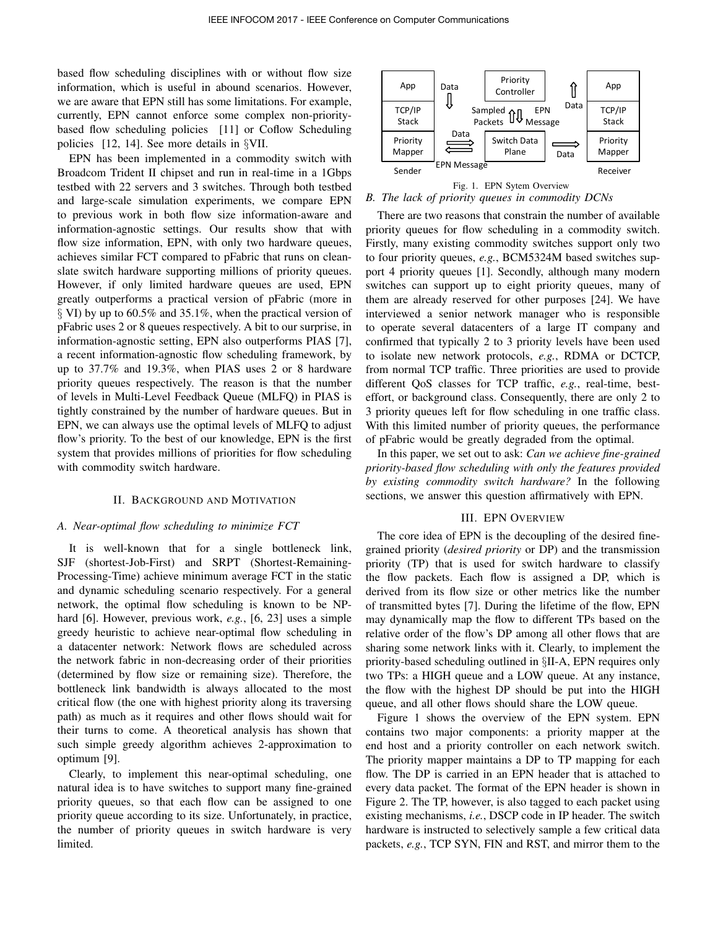based flow scheduling disciplines with or without flow size information, which is useful in abound scenarios. However, we are aware that EPN still has some limitations. For example, currently, EPN cannot enforce some complex non-prioritybased flow scheduling policies [11] or Coflow Scheduling policies [12, 14]. See more details in §VII.

EPN has been implemented in a commodity switch with Broadcom Trident II chipset and run in real-time in a 1Gbps testbed with 22 servers and 3 switches. Through both testbed and large-scale simulation experiments, we compare EPN to previous work in both flow size information-aware and information-agnostic settings. Our results show that with flow size information, EPN, with only two hardware queues, achieves similar FCT compared to pFabric that runs on cleanslate switch hardware supporting millions of priority queues. However, if only limited hardware queues are used, EPN greatly outperforms a practical version of pFabric (more in  $\S$  VI) by up to 60.5% and 35.1%, when the practical version of pFabric uses 2 or 8 queues respectively. A bit to our surprise, in information-agnostic setting, EPN also outperforms PIAS [7], a recent information-agnostic flow scheduling framework, by up to 37.7% and 19.3%, when PIAS uses 2 or 8 hardware priority queues respectively. The reason is that the number of levels in Multi-Level Feedback Queue (MLFQ) in PIAS is tightly constrained by the number of hardware queues. But in EPN, we can always use the optimal levels of MLFQ to adjust flow's priority. To the best of our knowledge, EPN is the first system that provides millions of priorities for flow scheduling with commodity switch hardware.

## II. BACKGROUND AND MOTIVATION

#### *A. Near-optimal flow scheduling to minimize FCT*

It is well-known that for a single bottleneck link, SJF (shortest-Job-First) and SRPT (Shortest-Remaining-Processing-Time) achieve minimum average FCT in the static and dynamic scheduling scenario respectively. For a general network, the optimal flow scheduling is known to be NPhard [6]. However, previous work, *e.g.*, [6, 23] uses a simple greedy heuristic to achieve near-optimal flow scheduling in a datacenter network: Network flows are scheduled across the network fabric in non-decreasing order of their priorities (determined by flow size or remaining size). Therefore, the bottleneck link bandwidth is always allocated to the most critical flow (the one with highest priority along its traversing path) as much as it requires and other flows should wait for their turns to come. A theoretical analysis has shown that such simple greedy algorithm achieves 2-approximation to optimum [9].

Clearly, to implement this near-optimal scheduling, one natural idea is to have switches to support many fine-grained priority queues, so that each flow can be assigned to one priority queue according to its size. Unfortunately, in practice, the number of priority queues in switch hardware is very limited.



*B. The lack of priority queues in commodity DCNs*

There are two reasons that constrain the number of available priority queues for flow scheduling in a commodity switch. Firstly, many existing commodity switches support only two to four priority queues, *e.g.*, BCM5324M based switches support 4 priority queues [1]. Secondly, although many modern switches can support up to eight priority queues, many of them are already reserved for other purposes [24]. We have interviewed a senior network manager who is responsible to operate several datacenters of a large IT company and confirmed that typically 2 to 3 priority levels have been used to isolate new network protocols, *e.g.*, RDMA or DCTCP, from normal TCP traffic. Three priorities are used to provide different QoS classes for TCP traffic, *e.g.*, real-time, besteffort, or background class. Consequently, there are only 2 to 3 priority queues left for flow scheduling in one traffic class. With this limited number of priority queues, the performance of pFabric would be greatly degraded from the optimal.

In this paper, we set out to ask: *Can we achieve fine-grained priority-based flow scheduling with only the features provided by existing commodity switch hardware?* In the following sections, we answer this question affirmatively with EPN.

#### III. EPN OVERVIEW

The core idea of EPN is the decoupling of the desired finegrained priority (*desired priority* or DP) and the transmission priority (TP) that is used for switch hardware to classify the flow packets. Each flow is assigned a DP, which is derived from its flow size or other metrics like the number of transmitted bytes [7]. During the lifetime of the flow, EPN may dynamically map the flow to different TPs based on the relative order of the flow's DP among all other flows that are sharing some network links with it. Clearly, to implement the priority-based scheduling outlined in §II-A, EPN requires only two TPs: a HIGH queue and a LOW queue. At any instance, the flow with the highest DP should be put into the HIGH queue, and all other flows should share the LOW queue.

Figure 1 shows the overview of the EPN system. EPN contains two major components: a priority mapper at the end host and a priority controller on each network switch. The priority mapper maintains a DP to TP mapping for each flow. The DP is carried in an EPN header that is attached to every data packet. The format of the EPN header is shown in Figure 2. The TP, however, is also tagged to each packet using existing mechanisms, *i.e.*, DSCP code in IP header. The switch hardware is instructed to selectively sample a few critical data packets, *e.g.*, TCP SYN, FIN and RST, and mirror them to the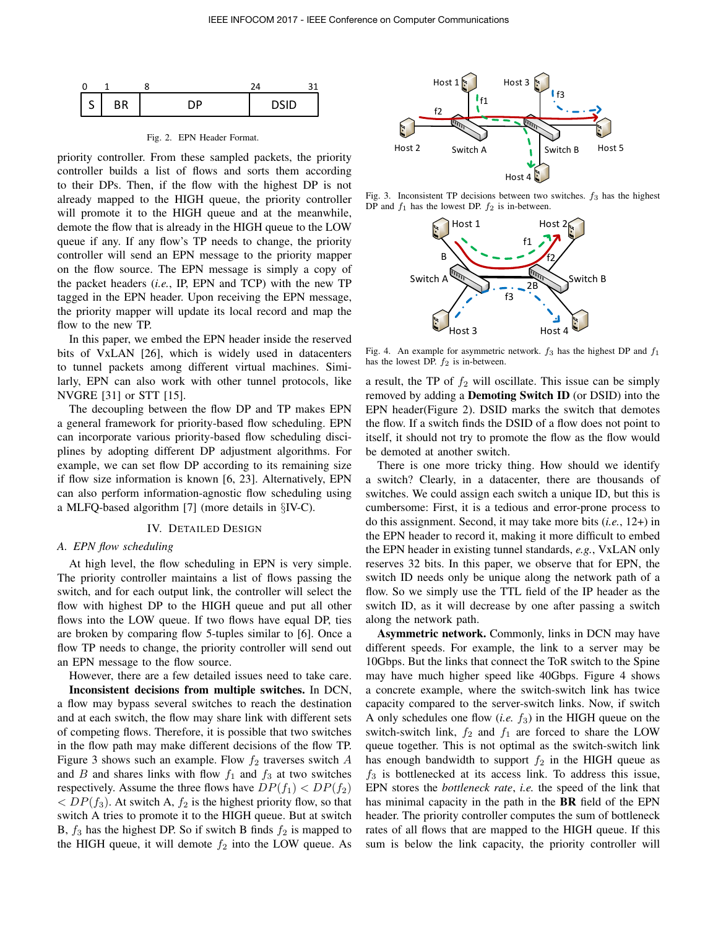

Fig. 2. EPN Header Format.

priority controller. From these sampled packets, the priority controller builds a list of flows and sorts them according to their DPs. Then, if the flow with the highest DP is not already mapped to the HIGH queue, the priority controller will promote it to the HIGH queue and at the meanwhile, demote the flow that is already in the HIGH queue to the LOW queue if any. If any flow's TP needs to change, the priority controller will send an EPN message to the priority mapper on the flow source. The EPN message is simply a copy of the packet headers (*i.e.*, IP, EPN and TCP) with the new TP tagged in the EPN header. Upon receiving the EPN message, the priority mapper will update its local record and map the flow to the new TP.

In this paper, we embed the EPN header inside the reserved bits of VxLAN [26], which is widely used in datacenters to tunnel packets among different virtual machines. Similarly, EPN can also work with other tunnel protocols, like NVGRE [31] or STT [15].

The decoupling between the flow DP and TP makes EPN a general framework for priority-based flow scheduling. EPN can incorporate various priority-based flow scheduling disciplines by adopting different DP adjustment algorithms. For example, we can set flow DP according to its remaining size if flow size information is known [6, 23]. Alternatively, EPN can also perform information-agnostic flow scheduling using a MLFQ-based algorithm [7] (more details in §IV-C).

## IV. DETAILED DESIGN

## *A. EPN flow scheduling*

At high level, the flow scheduling in EPN is very simple. The priority controller maintains a list of flows passing the switch, and for each output link, the controller will select the flow with highest DP to the HIGH queue and put all other flows into the LOW queue. If two flows have equal DP, ties are broken by comparing flow 5-tuples similar to [6]. Once a flow TP needs to change, the priority controller will send out an EPN message to the flow source.

However, there are a few detailed issues need to take care. Inconsistent decisions from multiple switches. In DCN, a flow may bypass several switches to reach the destination and at each switch, the flow may share link with different sets of competing flows. Therefore, it is possible that two switches in the flow path may make different decisions of the flow TP. Figure 3 shows such an example. Flow  $f_2$  traverses switch A and B and shares links with flow  $f_1$  and  $f_3$  at two switches respectively. Assume the three flows have  $DP(f_1) < DP(f_2)$  $\langle D P(f_3)$ . At switch A,  $f_2$  is the highest priority flow, so that switch A tries to promote it to the HIGH queue. But at switch B,  $f_3$  has the highest DP. So if switch B finds  $f_2$  is mapped to the HIGH queue, it will demote  $f_2$  into the LOW queue. As



Fig. 3. Inconsistent TP decisions between two switches.  $f_3$  has the highest DP and  $f_1$  has the lowest DP.  $f_2$  is in-between.



Fig. 4. An example for asymmetric network.  $f_3$  has the highest DP and  $f_1$ has the lowest DP.  $f_2$  is in-between.

a result, the TP of  $f_2$  will oscillate. This issue can be simply removed by adding a Demoting Switch ID (or DSID) into the EPN header(Figure 2). DSID marks the switch that demotes the flow. If a switch finds the DSID of a flow does not point to itself, it should not try to promote the flow as the flow would be demoted at another switch.

There is one more tricky thing. How should we identify a switch? Clearly, in a datacenter, there are thousands of switches. We could assign each switch a unique ID, but this is cumbersome: First, it is a tedious and error-prone process to do this assignment. Second, it may take more bits (*i.e.*, 12+) in the EPN header to record it, making it more difficult to embed the EPN header in existing tunnel standards, *e.g.*, VxLAN only reserves 32 bits. In this paper, we observe that for EPN, the switch ID needs only be unique along the network path of a flow. So we simply use the TTL field of the IP header as the switch ID, as it will decrease by one after passing a switch along the network path.

Asymmetric network. Commonly, links in DCN may have different speeds. For example, the link to a server may be 10Gbps. But the links that connect the ToR switch to the Spine may have much higher speed like 40Gbps. Figure 4 shows a concrete example, where the switch-switch link has twice capacity compared to the server-switch links. Now, if switch A only schedules one flow  $(i.e. f_3)$  in the HIGH queue on the switch-switch link,  $f_2$  and  $f_1$  are forced to share the LOW queue together. This is not optimal as the switch-switch link has enough bandwidth to support  $f_2$  in the HIGH queue as  $f_3$  is bottlenecked at its access link. To address this issue, EPN stores the *bottleneck rate*, *i.e.* the speed of the link that has minimal capacity in the path in the BR field of the EPN header. The priority controller computes the sum of bottleneck rates of all flows that are mapped to the HIGH queue. If this sum is below the link capacity, the priority controller will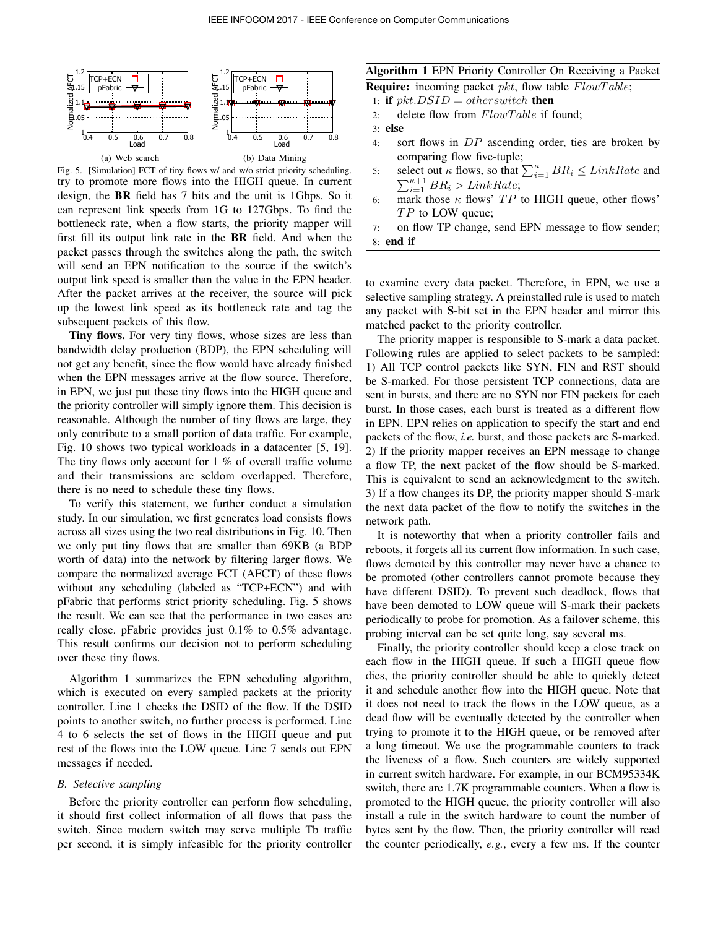

Fig. 5. [Simulation] FCT of tiny flows w/ and w/o strict priority scheduling. try to promote more flows into the HIGH queue. In current design, the BR field has 7 bits and the unit is 1Gbps. So it can represent link speeds from 1G to 127Gbps. To find the bottleneck rate, when a flow starts, the priority mapper will first fill its output link rate in the BR field. And when the packet passes through the switches along the path, the switch will send an EPN notification to the source if the switch's output link speed is smaller than the value in the EPN header. After the packet arrives at the receiver, the source will pick up the lowest link speed as its bottleneck rate and tag the subsequent packets of this flow.

Tiny flows. For very tiny flows, whose sizes are less than bandwidth delay production (BDP), the EPN scheduling will not get any benefit, since the flow would have already finished when the EPN messages arrive at the flow source. Therefore, in EPN, we just put these tiny flows into the HIGH queue and the priority controller will simply ignore them. This decision is reasonable. Although the number of tiny flows are large, they only contribute to a small portion of data traffic. For example, Fig. 10 shows two typical workloads in a datacenter [5, 19]. The tiny flows only account for 1 % of overall traffic volume and their transmissions are seldom overlapped. Therefore, there is no need to schedule these tiny flows.

To verify this statement, we further conduct a simulation study. In our simulation, we first generates load consists flows across all sizes using the two real distributions in Fig. 10. Then we only put tiny flows that are smaller than 69KB (a BDP worth of data) into the network by filtering larger flows. We compare the normalized average FCT (AFCT) of these flows without any scheduling (labeled as "TCP+ECN") and with pFabric that performs strict priority scheduling. Fig. 5 shows the result. We can see that the performance in two cases are really close. pFabric provides just 0.1% to 0.5% advantage. This result confirms our decision not to perform scheduling over these tiny flows.

Algorithm 1 summarizes the EPN scheduling algorithm, which is executed on every sampled packets at the priority controller. Line 1 checks the DSID of the flow. If the DSID points to another switch, no further process is performed. Line 4 to 6 selects the set of flows in the HIGH queue and put rest of the flows into the LOW queue. Line 7 sends out EPN messages if needed.

## *B. Selective sampling*

Before the priority controller can perform flow scheduling, it should first collect information of all flows that pass the switch. Since modern switch may serve multiple Tb traffic per second, it is simply infeasible for the priority controller

# Algorithm 1 EPN Priority Controller On Receiving a Packet

**Require:** incoming packet *pkt*, flow table  $FlowTable$ ;

- 1: **if**  $pkt$ .  $DSID = otherswitch$  **then**
- 2: delete flow from  $FlowTable$  if found;
- 3: else
- 4: sort flows in DP ascending order, ties are broken by comparing flow five-tuple;
- 5: select out  $\kappa$  flows, so that  $\sum_{i=1}^{\kappa} BR_i \leq LinkRate$  and  $\sum_{i=1}^{\kappa+1} BR_i > LinkRate;$
- 6: mark those  $\kappa$  flows'  $TP$  to HIGH queue, other flows'  $TP$  to LOW queue;

7: on flow TP change, send EPN message to flow sender; 8: end if

to examine every data packet. Therefore, in EPN, we use a selective sampling strategy. A preinstalled rule is used to match any packet with S-bit set in the EPN header and mirror this matched packet to the priority controller.

The priority mapper is responsible to S-mark a data packet. Following rules are applied to select packets to be sampled: 1) All TCP control packets like SYN, FIN and RST should be S-marked. For those persistent TCP connections, data are sent in bursts, and there are no SYN nor FIN packets for each burst. In those cases, each burst is treated as a different flow in EPN. EPN relies on application to specify the start and end packets of the flow, *i.e.* burst, and those packets are S-marked. 2) If the priority mapper receives an EPN message to change a flow TP, the next packet of the flow should be S-marked. This is equivalent to send an acknowledgment to the switch. 3) If a flow changes its DP, the priority mapper should S-mark the next data packet of the flow to notify the switches in the network path.

It is noteworthy that when a priority controller fails and reboots, it forgets all its current flow information. In such case, flows demoted by this controller may never have a chance to be promoted (other controllers cannot promote because they have different DSID). To prevent such deadlock, flows that have been demoted to LOW queue will S-mark their packets periodically to probe for promotion. As a failover scheme, this probing interval can be set quite long, say several ms.

Finally, the priority controller should keep a close track on each flow in the HIGH queue. If such a HIGH queue flow dies, the priority controller should be able to quickly detect it and schedule another flow into the HIGH queue. Note that it does not need to track the flows in the LOW queue, as a dead flow will be eventually detected by the controller when trying to promote it to the HIGH queue, or be removed after a long timeout. We use the programmable counters to track the liveness of a flow. Such counters are widely supported in current switch hardware. For example, in our BCM95334K switch, there are 1.7K programmable counters. When a flow is promoted to the HIGH queue, the priority controller will also install a rule in the switch hardware to count the number of bytes sent by the flow. Then, the priority controller will read the counter periodically, *e.g.*, every a few ms. If the counter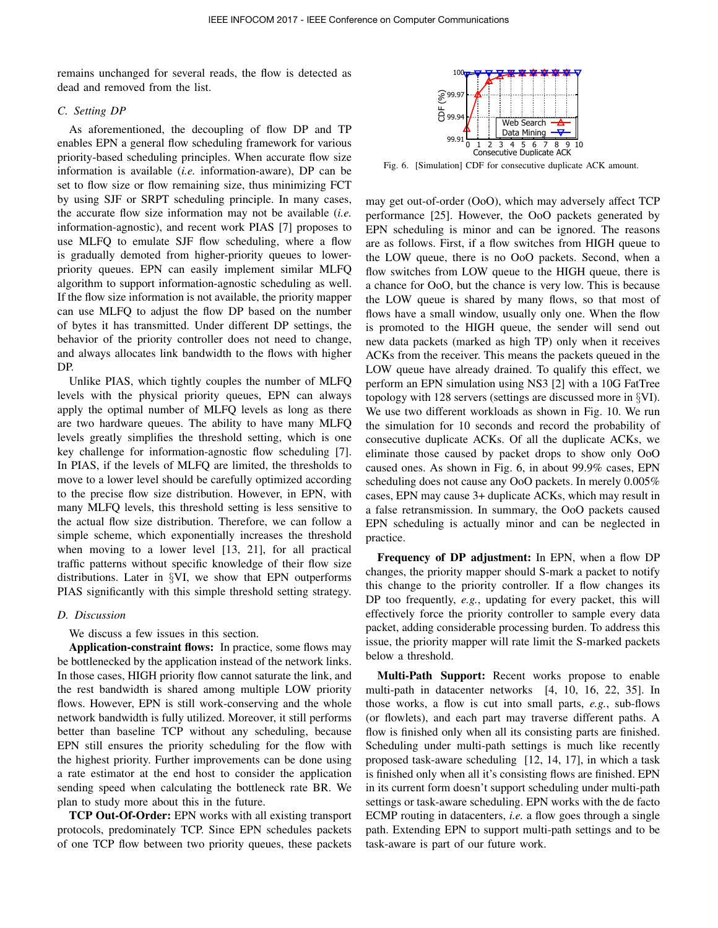remains unchanged for several reads, the flow is detected as dead and removed from the list.

# *C. Setting DP*

As aforementioned, the decoupling of flow DP and TP enables EPN a general flow scheduling framework for various priority-based scheduling principles. When accurate flow size information is available (*i.e.* information-aware), DP can be set to flow size or flow remaining size, thus minimizing FCT by using SJF or SRPT scheduling principle. In many cases, the accurate flow size information may not be available (*i.e.* information-agnostic), and recent work PIAS [7] proposes to use MLFQ to emulate SJF flow scheduling, where a flow is gradually demoted from higher-priority queues to lowerpriority queues. EPN can easily implement similar MLFQ algorithm to support information-agnostic scheduling as well. If the flow size information is not available, the priority mapper can use MLFQ to adjust the flow DP based on the number of bytes it has transmitted. Under different DP settings, the behavior of the priority controller does not need to change, and always allocates link bandwidth to the flows with higher DP.

Unlike PIAS, which tightly couples the number of MLFQ levels with the physical priority queues, EPN can always apply the optimal number of MLFQ levels as long as there are two hardware queues. The ability to have many MLFQ levels greatly simplifies the threshold setting, which is one key challenge for information-agnostic flow scheduling [7]. In PIAS, if the levels of MLFQ are limited, the thresholds to move to a lower level should be carefully optimized according to the precise flow size distribution. However, in EPN, with many MLFQ levels, this threshold setting is less sensitive to the actual flow size distribution. Therefore, we can follow a simple scheme, which exponentially increases the threshold when moving to a lower level [13, 21], for all practical traffic patterns without specific knowledge of their flow size distributions. Later in §VI, we show that EPN outperforms PIAS significantly with this simple threshold setting strategy.

## *D. Discussion*

We discuss a few issues in this section.

Application-constraint flows: In practice, some flows may be bottlenecked by the application instead of the network links. In those cases, HIGH priority flow cannot saturate the link, and the rest bandwidth is shared among multiple LOW priority flows. However, EPN is still work-conserving and the whole network bandwidth is fully utilized. Moreover, it still performs better than baseline TCP without any scheduling, because EPN still ensures the priority scheduling for the flow with the highest priority. Further improvements can be done using a rate estimator at the end host to consider the application sending speed when calculating the bottleneck rate BR. We plan to study more about this in the future.

TCP Out-Of-Order: EPN works with all existing transport protocols, predominately TCP. Since EPN schedules packets of one TCP flow between two priority queues, these packets



Fig. 6. [Simulation] CDF for consecutive duplicate ACK amount.

may get out-of-order (OoO), which may adversely affect TCP performance [25]. However, the OoO packets generated by EPN scheduling is minor and can be ignored. The reasons are as follows. First, if a flow switches from HIGH queue to the LOW queue, there is no OoO packets. Second, when a flow switches from LOW queue to the HIGH queue, there is a chance for OoO, but the chance is very low. This is because the LOW queue is shared by many flows, so that most of flows have a small window, usually only one. When the flow is promoted to the HIGH queue, the sender will send out new data packets (marked as high TP) only when it receives ACKs from the receiver. This means the packets queued in the LOW queue have already drained. To qualify this effect, we perform an EPN simulation using NS3 [2] with a 10G FatTree topology with 128 servers (settings are discussed more in §VI). We use two different workloads as shown in Fig. 10. We run the simulation for 10 seconds and record the probability of consecutive duplicate ACKs. Of all the duplicate ACKs, we eliminate those caused by packet drops to show only OoO caused ones. As shown in Fig. 6, in about 99.9% cases, EPN scheduling does not cause any OoO packets. In merely 0.005% cases, EPN may cause 3+ duplicate ACKs, which may result in a false retransmission. In summary, the OoO packets caused EPN scheduling is actually minor and can be neglected in practice.

Frequency of DP adjustment: In EPN, when a flow DP changes, the priority mapper should S-mark a packet to notify this change to the priority controller. If a flow changes its DP too frequently, *e.g.*, updating for every packet, this will effectively force the priority controller to sample every data packet, adding considerable processing burden. To address this issue, the priority mapper will rate limit the S-marked packets below a threshold.

Multi-Path Support: Recent works propose to enable multi-path in datacenter networks [4, 10, 16, 22, 35]. In those works, a flow is cut into small parts, *e.g.*, sub-flows (or flowlets), and each part may traverse different paths. A flow is finished only when all its consisting parts are finished. Scheduling under multi-path settings is much like recently proposed task-aware scheduling [12, 14, 17], in which a task is finished only when all it's consisting flows are finished. EPN in its current form doesn't support scheduling under multi-path settings or task-aware scheduling. EPN works with the de facto ECMP routing in datacenters, *i.e.* a flow goes through a single path. Extending EPN to support multi-path settings and to be task-aware is part of our future work.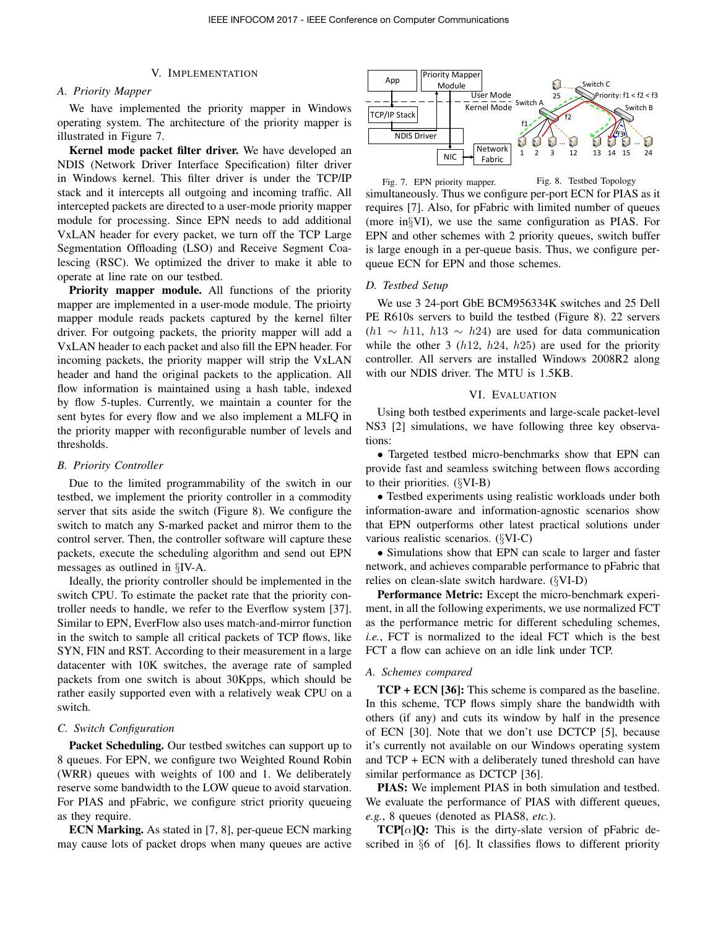## V. IMPLEMENTATION

## *A. Priority Mapper*

We have implemented the priority mapper in Windows operating system. The architecture of the priority mapper is illustrated in Figure 7.

Kernel mode packet filter driver. We have developed an NDIS (Network Driver Interface Specification) filter driver in Windows kernel. This filter driver is under the TCP/IP stack and it intercepts all outgoing and incoming traffic. All intercepted packets are directed to a user-mode priority mapper module for processing. Since EPN needs to add additional VxLAN header for every packet, we turn off the TCP Large Segmentation Offloading (LSO) and Receive Segment Coalescing (RSC). We optimized the driver to make it able to operate at line rate on our testbed.

Priority mapper module. All functions of the priority mapper are implemented in a user-mode module. The prioirty mapper module reads packets captured by the kernel filter driver. For outgoing packets, the priority mapper will add a VxLAN header to each packet and also fill the EPN header. For incoming packets, the priority mapper will strip the VxLAN header and hand the original packets to the application. All flow information is maintained using a hash table, indexed by flow 5-tuples. Currently, we maintain a counter for the sent bytes for every flow and we also implement a MLFQ in the priority mapper with reconfigurable number of levels and thresholds.

## *B. Priority Controller*

Due to the limited programmability of the switch in our testbed, we implement the priority controller in a commodity server that sits aside the switch (Figure 8). We configure the switch to match any S-marked packet and mirror them to the control server. Then, the controller software will capture these packets, execute the scheduling algorithm and send out EPN messages as outlined in §IV-A.

Ideally, the priority controller should be implemented in the switch CPU. To estimate the packet rate that the priority controller needs to handle, we refer to the Everflow system [37]. Similar to EPN, EverFlow also uses match-and-mirror function in the switch to sample all critical packets of TCP flows, like SYN, FIN and RST. According to their measurement in a large datacenter with 10K switches, the average rate of sampled packets from one switch is about 30Kpps, which should be rather easily supported even with a relatively weak CPU on a switch.

## *C. Switch Configuration*

Packet Scheduling. Our testbed switches can support up to 8 queues. For EPN, we configure two Weighted Round Robin (WRR) queues with weights of 100 and 1. We deliberately reserve some bandwidth to the LOW queue to avoid starvation. For PIAS and pFabric, we configure strict priority queueing as they require.

ECN Marking. As stated in [7, 8], per-queue ECN marking may cause lots of packet drops when many queues are active



Fig. 7. EPN priority mapper. Fig. 8. Testbed Topology simultaneously. Thus we configure per-port ECN for PIAS as it requires [7]. Also, for pFabric with limited number of queues (more in§VI), we use the same configuration as PIAS. For EPN and other schemes with 2 priority queues, switch buffer is large enough in a per-queue basis. Thus, we configure perqueue ECN for EPN and those schemes.

# *D. Testbed Setup*

We use 3 24-port GbE BCM956334K switches and 25 Dell PE R610s servers to build the testbed (Figure 8). 22 servers  $(h1 \sim h11, h13 \sim h24)$  are used for data communication while the other 3 ( $h12$ ,  $h24$ ,  $h25$ ) are used for the priority controller. All servers are installed Windows 2008R2 along with our NDIS driver. The MTU is 1.5KB.

#### VI. EVALUATION

Using both testbed experiments and large-scale packet-level NS3 [2] simulations, we have following three key observations:

• Targeted testbed micro-benchmarks show that EPN can provide fast and seamless switching between flows according to their priorities. (§VI-B)

• Testbed experiments using realistic workloads under both information-aware and information-agnostic scenarios show that EPN outperforms other latest practical solutions under various realistic scenarios. (§VI-C)

• Simulations show that EPN can scale to larger and faster network, and achieves comparable performance to pFabric that relies on clean-slate switch hardware. (§VI-D)

Performance Metric: Except the micro-benchmark experiment, in all the following experiments, we use normalized FCT as the performance metric for different scheduling schemes, *i.e.*, FCT is normalized to the ideal FCT which is the best FCT a flow can achieve on an idle link under TCP.

## *A. Schemes compared*

TCP + ECN [36]: This scheme is compared as the baseline. In this scheme, TCP flows simply share the bandwidth with others (if any) and cuts its window by half in the presence of ECN [30]. Note that we don't use DCTCP [5], because it's currently not available on our Windows operating system and TCP + ECN with a deliberately tuned threshold can have similar performance as DCTCP [36].

PIAS: We implement PIAS in both simulation and testbed. We evaluate the performance of PIAS with different queues, *e.g.*, 8 queues (denoted as PIAS8, *etc.*).

 $TCP[α]Q: This is the dirty-state version of pFabric de$ scribed in §6 of [6]. It classifies flows to different priority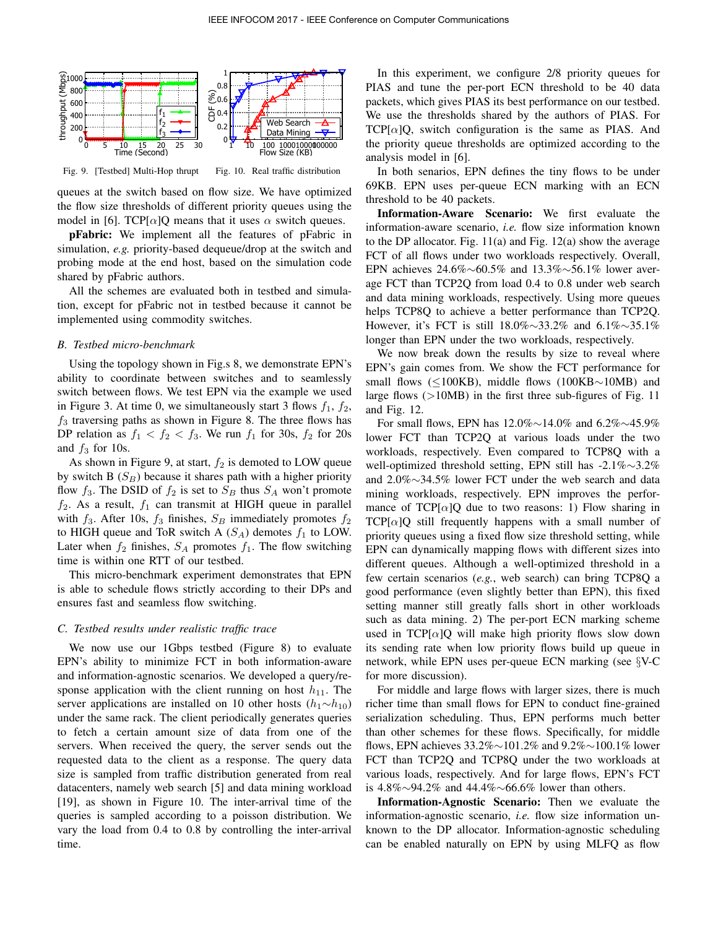

Fig. 9. [Testbed] Multi-Hop thrupt Fig. 10. Real traffic distribution

queues at the switch based on flow size. We have optimized the flow size thresholds of different priority queues using the model in [6]. TCP[ $\alpha$ ]Q means that it uses  $\alpha$  switch queues.

**pFabric:** We implement all the features of pFabric in simulation, *e.g.* priority-based dequeue/drop at the switch and probing mode at the end host, based on the simulation code shared by pFabric authors.

All the schemes are evaluated both in testbed and simulation, except for pFabric not in testbed because it cannot be implemented using commodity switches.

#### *B. Testbed micro-benchmark*

Using the topology shown in Fig.s 8, we demonstrate EPN's ability to coordinate between switches and to seamlessly switch between flows. We test EPN via the example we used in Figure 3. At time 0, we simultaneously start 3 flows  $f_1$ ,  $f_2$ ,  $f_3$  traversing paths as shown in Figure 8. The three flows has DP relation as  $f_1 < f_2 < f_3$ . We run  $f_1$  for 30s,  $f_2$  for 20s and  $f_3$  for 10s.

As shown in Figure 9, at start,  $f_2$  is demoted to LOW queue by switch B  $(S_B)$  because it shares path with a higher priority flow  $f_3$ . The DSID of  $f_2$  is set to  $S_B$  thus  $S_A$  won't promote  $f_2$ . As a result,  $f_1$  can transmit at HIGH queue in parallel with  $f_3$ . After 10s,  $f_3$  finishes,  $S_B$  immediately promotes  $f_2$ to HIGH queue and ToR switch A  $(S_A)$  demotes  $f_1$  to LOW. Later when  $f_2$  finishes,  $S_A$  promotes  $f_1$ . The flow switching time is within one RTT of our testbed.

This micro-benchmark experiment demonstrates that EPN is able to schedule flows strictly according to their DPs and ensures fast and seamless flow switching.

#### *C. Testbed results under realistic traffic trace*

We now use our 1Gbps testbed (Figure 8) to evaluate EPN's ability to minimize FCT in both information-aware and information-agnostic scenarios. We developed a query/response application with the client running on host  $h_{11}$ . The server applications are installed on 10 other hosts  $(h_1 \sim h_{10})$ under the same rack. The client periodically generates queries to fetch a certain amount size of data from one of the servers. When received the query, the server sends out the requested data to the client as a response. The query data size is sampled from traffic distribution generated from real datacenters, namely web search [5] and data mining workload [19], as shown in Figure 10. The inter-arrival time of the queries is sampled according to a poisson distribution. We vary the load from 0.4 to 0.8 by controlling the inter-arrival time.

In this experiment, we configure 2/8 priority queues for PIAS and tune the per-port ECN threshold to be 40 data packets, which gives PIAS its best performance on our testbed. We use the thresholds shared by the authors of PIAS. For  $TCP[α]Q$ , switch configuration is the same as PIAS. And the priority queue thresholds are optimized according to the analysis model in [6].

In both senarios, EPN defines the tiny flows to be under 69KB. EPN uses per-queue ECN marking with an ECN threshold to be 40 packets.

Information-Aware Scenario: We first evaluate the information-aware scenario, *i.e.* flow size information known to the DP allocator. Fig. 11(a) and Fig. 12(a) show the average FCT of all flows under two workloads respectively. Overall, EPN achieves 24.6%∼60.5% and 13.3%∼56.1% lower average FCT than TCP2Q from load 0.4 to 0.8 under web search and data mining workloads, respectively. Using more queues helps TCP8Q to achieve a better performance than TCP2Q. However, it's FCT is still 18.0%∼33.2% and 6.1%∼35.1% longer than EPN under the two workloads, respectively.

We now break down the results by size to reveal where EPN's gain comes from. We show the FCT performance for small flows (≤100KB), middle flows (100KB∼10MB) and large flows  $(>10MB)$  in the first three sub-figures of Fig. 11 and Fig. 12.

For small flows, EPN has 12.0%∼14.0% and 6.2%∼45.9% lower FCT than TCP2Q at various loads under the two workloads, respectively. Even compared to TCP8Q with a well-optimized threshold setting, EPN still has -2.1%∼3.2% and 2.0%∼34.5% lower FCT under the web search and data mining workloads, respectively. EPN improves the performance of TCP[ $\alpha$ ]Q due to two reasons: 1) Flow sharing in  $TCP[α]Q$  still frequently happens with a small number of priority queues using a fixed flow size threshold setting, while EPN can dynamically mapping flows with different sizes into different queues. Although a well-optimized threshold in a few certain scenarios (*e.g.*, web search) can bring TCP8Q a good performance (even slightly better than EPN), this fixed setting manner still greatly falls short in other workloads such as data mining. 2) The per-port ECN marking scheme used in  $TCP[α]$ Q will make high priority flows slow down its sending rate when low priority flows build up queue in network, while EPN uses per-queue ECN marking (see §V-C for more discussion).

For middle and large flows with larger sizes, there is much richer time than small flows for EPN to conduct fine-grained serialization scheduling. Thus, EPN performs much better than other schemes for these flows. Specifically, for middle flows, EPN achieves 33.2%∼101.2% and 9.2%∼100.1% lower FCT than TCP2Q and TCP8Q under the two workloads at various loads, respectively. And for large flows, EPN's FCT is 4.8%∼94.2% and 44.4%∼66.6% lower than others.

Information-Agnostic Scenario: Then we evaluate the information-agnostic scenario, *i.e.* flow size information unknown to the DP allocator. Information-agnostic scheduling can be enabled naturally on EPN by using MLFQ as flow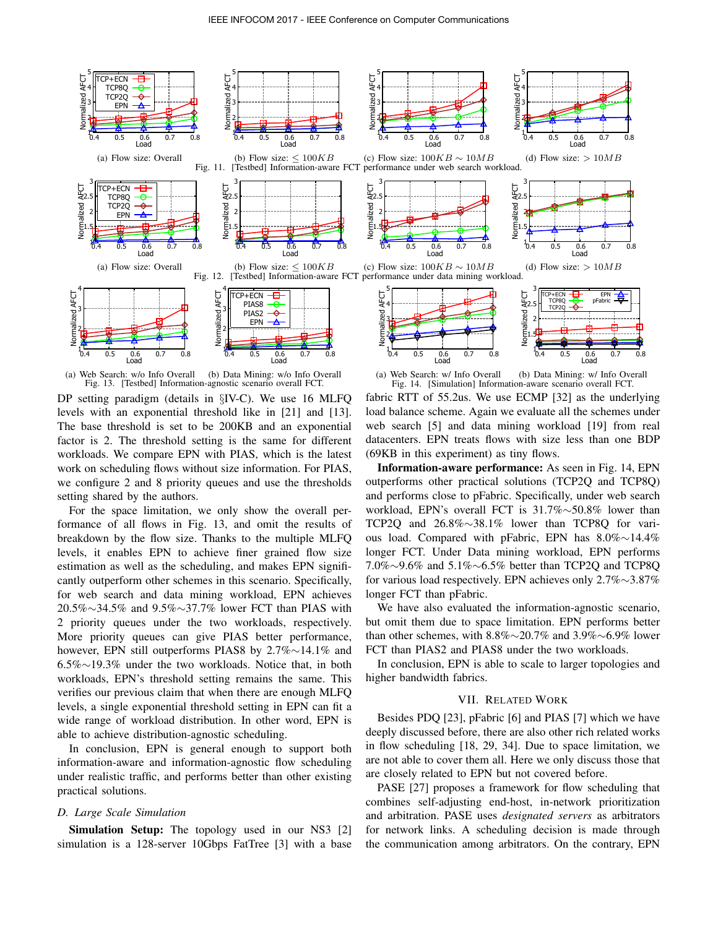

(a) Web Search: w/o Info Overall (b) Data Mining: w/o Info Overall Fig. 13. [Testbed] Information-agnostic scenario overall FCT.

DP setting paradigm (details in §IV-C). We use 16 MLFQ levels with an exponential threshold like in [21] and [13]. The base threshold is set to be 200KB and an exponential factor is 2. The threshold setting is the same for different workloads. We compare EPN with PIAS, which is the latest work on scheduling flows without size information. For PIAS, we configure 2 and 8 priority queues and use the thresholds setting shared by the authors.

For the space limitation, we only show the overall performance of all flows in Fig. 13, and omit the results of breakdown by the flow size. Thanks to the multiple MLFQ levels, it enables EPN to achieve finer grained flow size estimation as well as the scheduling, and makes EPN significantly outperform other schemes in this scenario. Specifically, for web search and data mining workload, EPN achieves 20.5%∼34.5% and 9.5%∼37.7% lower FCT than PIAS with 2 priority queues under the two workloads, respectively. More priority queues can give PIAS better performance, however, EPN still outperforms PIAS8 by 2.7%∼14.1% and 6.5%∼19.3% under the two workloads. Notice that, in both workloads, EPN's threshold setting remains the same. This verifies our previous claim that when there are enough MLFQ levels, a single exponential threshold setting in EPN can fit a wide range of workload distribution. In other word, EPN is able to achieve distribution-agnostic scheduling.

In conclusion, EPN is general enough to support both information-aware and information-agnostic flow scheduling under realistic traffic, and performs better than other existing practical solutions.

#### *D. Large Scale Simulation*

Simulation Setup: The topology used in our NS3 [2] simulation is a 128-server 10Gbps FatTree [3] with a base

(a) Web Search: w/ Info Overall (b) Data Mining: w/ Info Overall Fig. 14. [Simulation] Information-aware scenario overall FCT.

fabric RTT of 55.2us. We use ECMP [32] as the underlying load balance scheme. Again we evaluate all the schemes under web search [5] and data mining workload [19] from real datacenters. EPN treats flows with size less than one BDP (69KB in this experiment) as tiny flows.

Information-aware performance: As seen in Fig. 14, EPN outperforms other practical solutions (TCP2Q and TCP8Q) and performs close to pFabric. Specifically, under web search workload, EPN's overall FCT is 31.7%∼50.8% lower than TCP2Q and 26.8%∼38.1% lower than TCP8Q for various load. Compared with pFabric, EPN has 8.0%∼14.4% longer FCT. Under Data mining workload, EPN performs 7.0%∼9.6% and 5.1%∼6.5% better than TCP2Q and TCP8Q for various load respectively. EPN achieves only 2.7%∼3.87% longer FCT than pFabric.

We have also evaluated the information-agnostic scenario, but omit them due to space limitation. EPN performs better than other schemes, with 8.8%∼20.7% and 3.9%∼6.9% lower FCT than PIAS2 and PIAS8 under the two workloads.

In conclusion, EPN is able to scale to larger topologies and higher bandwidth fabrics.

## VII. RELATED WORK

Besides PDQ [23], pFabric [6] and PIAS [7] which we have deeply discussed before, there are also other rich related works in flow scheduling [18, 29, 34]. Due to space limitation, we are not able to cover them all. Here we only discuss those that are closely related to EPN but not covered before.

PASE [27] proposes a framework for flow scheduling that combines self-adjusting end-host, in-network prioritization and arbitration. PASE uses *designated servers* as arbitrators for network links. A scheduling decision is made through the communication among arbitrators. On the contrary, EPN